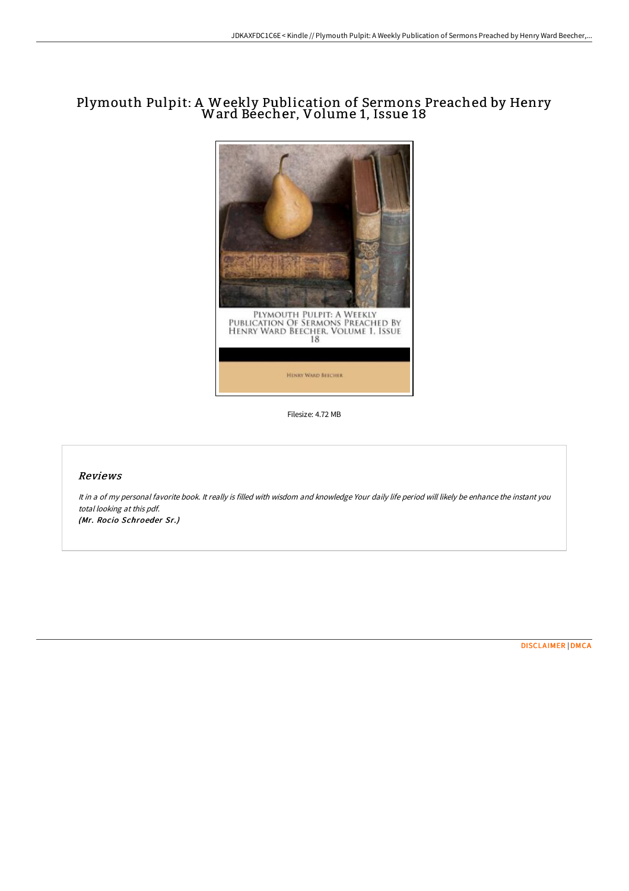# Plymouth Pulpit: <sup>A</sup> Weekly Publication of Sermons Preached by Henry Ward Beecher, Volume 1, Issue <sup>18</sup>



Filesize: 4.72 MB

## Reviews

It in <sup>a</sup> of my personal favorite book. It really is filled with wisdom and knowledge Your daily life period will likely be enhance the instant you total looking at this pdf. (Mr. Rocio Schroeder Sr.)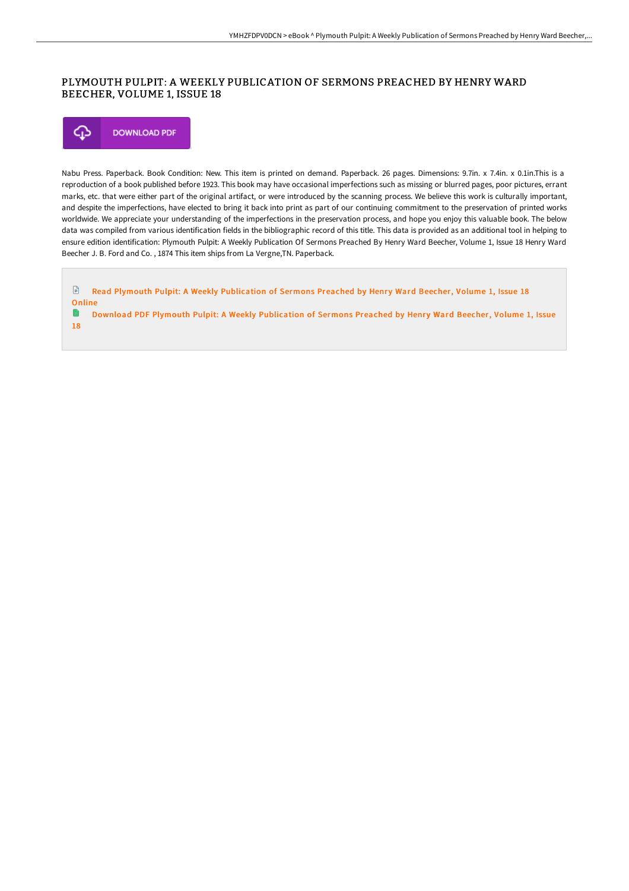## PLYMOUTH PULPIT: A WEEKLY PUBLICATION OF SERMONS PREACHED BY HENRY WARD BEECHER, VOLUME 1, ISSUE 18



18

Nabu Press. Paperback. Book Condition: New. This item is printed on demand. Paperback. 26 pages. Dimensions: 9.7in. x 7.4in. x 0.1in.This is a reproduction of a book published before 1923. This book may have occasional imperfections such as missing or blurred pages, poor pictures, errant marks, etc. that were either part of the original artifact, or were introduced by the scanning process. We believe this work is culturally important, and despite the imperfections, have elected to bring it back into print as part of our continuing commitment to the preservation of printed works worldwide. We appreciate your understanding of the imperfections in the preservation process, and hope you enjoy this valuable book. The below data was compiled from various identification fields in the bibliographic record of this title. This data is provided as an additional tool in helping to ensure edition identification: Plymouth Pulpit: A Weekly Publication Of Sermons Preached By Henry Ward Beecher, Volume 1, Issue 18 Henry Ward Beecher J. B. Ford and Co. , 1874 This item ships from La Vergne,TN. Paperback.

 $\mathbf{r}$ Read Plymouth Pulpit: A Weekly [Publication](http://albedo.media/plymouth-pulpit-a-weekly-publication-of-sermons--26.html) of Sermons Preached by Henry Ward Beecher, Volume 1, Issue 18 **Online** ۱÷ Download PDF Plymouth Pulpit: A Weekly [Publication](http://albedo.media/plymouth-pulpit-a-weekly-publication-of-sermons--26.html) of Sermons Preached by Henry Ward Beecher, Volume 1, Issue